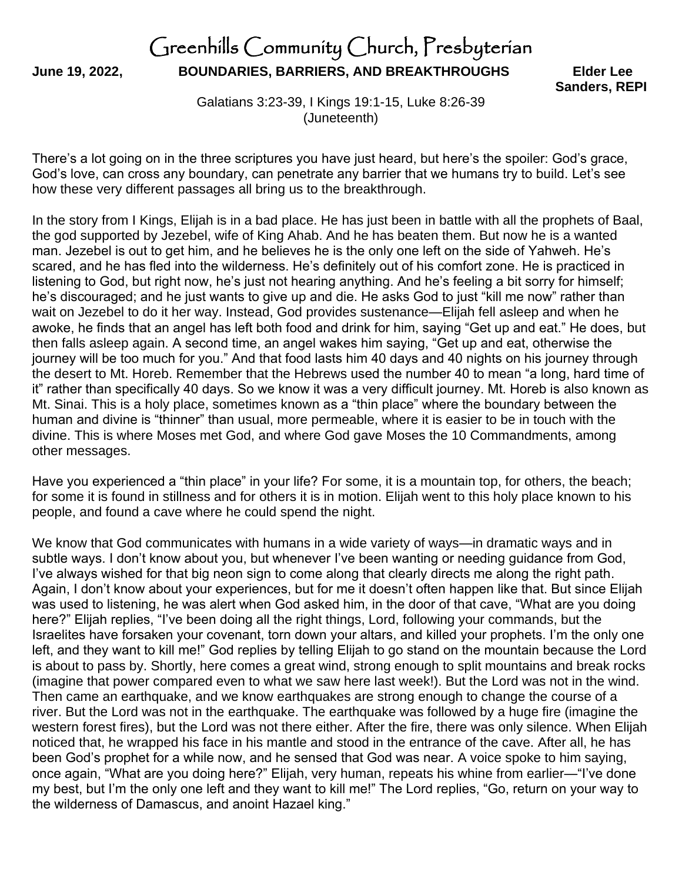## Greenhills Community Church, Presbyterian **June 19, 2022, BOUNDARIES, BARRIERS, AND BREAKTHROUGHS Elder Lee**

 **Sanders, REPI**

Galatians 3:23-39, I Kings 19:1-15, Luke 8:26-39 (Juneteenth)

There's a lot going on in the three scriptures you have just heard, but here's the spoiler: God's grace, God's love, can cross any boundary, can penetrate any barrier that we humans try to build. Let's see how these very different passages all bring us to the breakthrough.

In the story from I Kings, Elijah is in a bad place. He has just been in battle with all the prophets of Baal, the god supported by Jezebel, wife of King Ahab. And he has beaten them. But now he is a wanted man. Jezebel is out to get him, and he believes he is the only one left on the side of Yahweh. He's scared, and he has fled into the wilderness. He's definitely out of his comfort zone. He is practiced in listening to God, but right now, he's just not hearing anything. And he's feeling a bit sorry for himself; he's discouraged; and he just wants to give up and die. He asks God to just "kill me now" rather than wait on Jezebel to do it her way. Instead, God provides sustenance—Elijah fell asleep and when he awoke, he finds that an angel has left both food and drink for him, saying "Get up and eat." He does, but then falls asleep again. A second time, an angel wakes him saying, "Get up and eat, otherwise the journey will be too much for you." And that food lasts him 40 days and 40 nights on his journey through the desert to Mt. Horeb. Remember that the Hebrews used the number 40 to mean "a long, hard time of it" rather than specifically 40 days. So we know it was a very difficult journey. Mt. Horeb is also known as Mt. Sinai. This is a holy place, sometimes known as a "thin place" where the boundary between the human and divine is "thinner" than usual, more permeable, where it is easier to be in touch with the divine. This is where Moses met God, and where God gave Moses the 10 Commandments, among other messages.

Have you experienced a "thin place" in your life? For some, it is a mountain top, for others, the beach; for some it is found in stillness and for others it is in motion. Elijah went to this holy place known to his people, and found a cave where he could spend the night.

We know that God communicates with humans in a wide variety of ways—in dramatic ways and in subtle ways. I don't know about you, but whenever I've been wanting or needing guidance from God, I've always wished for that big neon sign to come along that clearly directs me along the right path. Again, I don't know about your experiences, but for me it doesn't often happen like that. But since Elijah was used to listening, he was alert when God asked him, in the door of that cave, "What are you doing here?" Elijah replies, "I've been doing all the right things, Lord, following your commands, but the Israelites have forsaken your covenant, torn down your altars, and killed your prophets. I'm the only one left, and they want to kill me!" God replies by telling Elijah to go stand on the mountain because the Lord is about to pass by. Shortly, here comes a great wind, strong enough to split mountains and break rocks (imagine that power compared even to what we saw here last week!). But the Lord was not in the wind. Then came an earthquake, and we know earthquakes are strong enough to change the course of a river. But the Lord was not in the earthquake. The earthquake was followed by a huge fire (imagine the western forest fires), but the Lord was not there either. After the fire, there was only silence. When Elijah noticed that, he wrapped his face in his mantle and stood in the entrance of the cave. After all, he has been God's prophet for a while now, and he sensed that God was near. A voice spoke to him saying, once again, "What are you doing here?" Elijah, very human, repeats his whine from earlier—"I've done my best, but I'm the only one left and they want to kill me!" The Lord replies, "Go, return on your way to the wilderness of Damascus, and anoint Hazael king."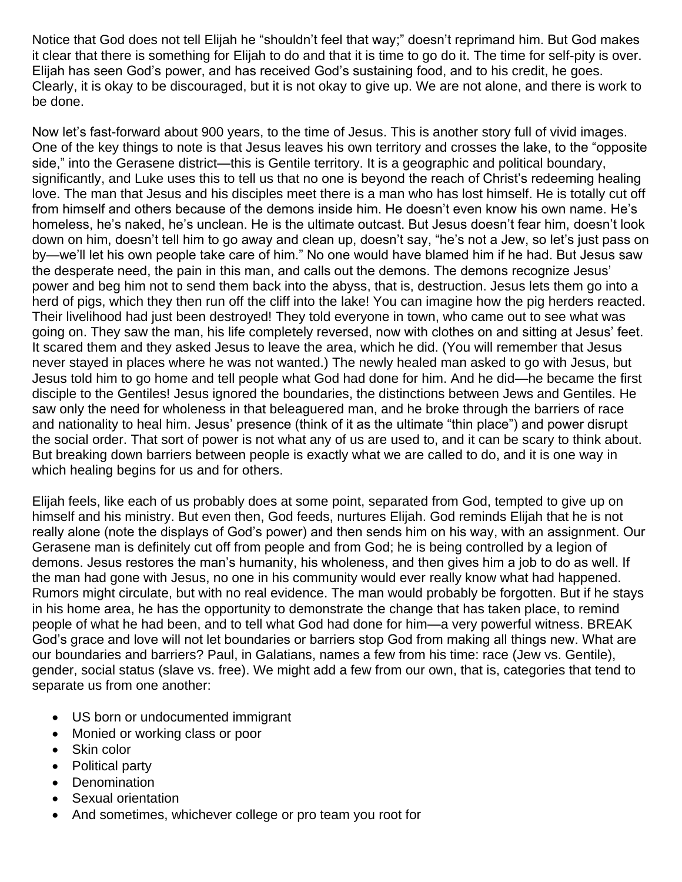Notice that God does not tell Elijah he "shouldn't feel that way;" doesn't reprimand him. But God makes it clear that there is something for Elijah to do and that it is time to go do it. The time for self-pity is over. Elijah has seen God's power, and has received God's sustaining food, and to his credit, he goes. Clearly, it is okay to be discouraged, but it is not okay to give up. We are not alone, and there is work to be done.

Now let's fast-forward about 900 years, to the time of Jesus. This is another story full of vivid images. One of the key things to note is that Jesus leaves his own territory and crosses the lake, to the "opposite side," into the Gerasene district—this is Gentile territory. It is a geographic and political boundary, significantly, and Luke uses this to tell us that no one is beyond the reach of Christ's redeeming healing love. The man that Jesus and his disciples meet there is a man who has lost himself. He is totally cut off from himself and others because of the demons inside him. He doesn't even know his own name. He's homeless, he's naked, he's unclean. He is the ultimate outcast. But Jesus doesn't fear him, doesn't look down on him, doesn't tell him to go away and clean up, doesn't say, "he's not a Jew, so let's just pass on by—we'll let his own people take care of him." No one would have blamed him if he had. But Jesus saw the desperate need, the pain in this man, and calls out the demons. The demons recognize Jesus' power and beg him not to send them back into the abyss, that is, destruction. Jesus lets them go into a herd of pigs, which they then run off the cliff into the lake! You can imagine how the pig herders reacted. Their livelihood had just been destroyed! They told everyone in town, who came out to see what was going on. They saw the man, his life completely reversed, now with clothes on and sitting at Jesus' feet. It scared them and they asked Jesus to leave the area, which he did. (You will remember that Jesus never stayed in places where he was not wanted.) The newly healed man asked to go with Jesus, but Jesus told him to go home and tell people what God had done for him. And he did—he became the first disciple to the Gentiles! Jesus ignored the boundaries, the distinctions between Jews and Gentiles. He saw only the need for wholeness in that beleaguered man, and he broke through the barriers of race and nationality to heal him. Jesus' presence (think of it as the ultimate "thin place") and power disrupt the social order. That sort of power is not what any of us are used to, and it can be scary to think about. But breaking down barriers between people is exactly what we are called to do, and it is one way in which healing begins for us and for others.

Elijah feels, like each of us probably does at some point, separated from God, tempted to give up on himself and his ministry. But even then, God feeds, nurtures Elijah. God reminds Elijah that he is not really alone (note the displays of God's power) and then sends him on his way, with an assignment. Our Gerasene man is definitely cut off from people and from God; he is being controlled by a legion of demons. Jesus restores the man's humanity, his wholeness, and then gives him a job to do as well. If the man had gone with Jesus, no one in his community would ever really know what had happened. Rumors might circulate, but with no real evidence. The man would probably be forgotten. But if he stays in his home area, he has the opportunity to demonstrate the change that has taken place, to remind people of what he had been, and to tell what God had done for him—a very powerful witness. BREAK God's grace and love will not let boundaries or barriers stop God from making all things new. What are our boundaries and barriers? Paul, in Galatians, names a few from his time: race (Jew vs. Gentile), gender, social status (slave vs. free). We might add a few from our own, that is, categories that tend to separate us from one another:

- US born or undocumented immigrant
- Monied or working class or poor
- Skin color
- Political party
- **Denomination**
- Sexual orientation
- And sometimes, whichever college or pro team you root for